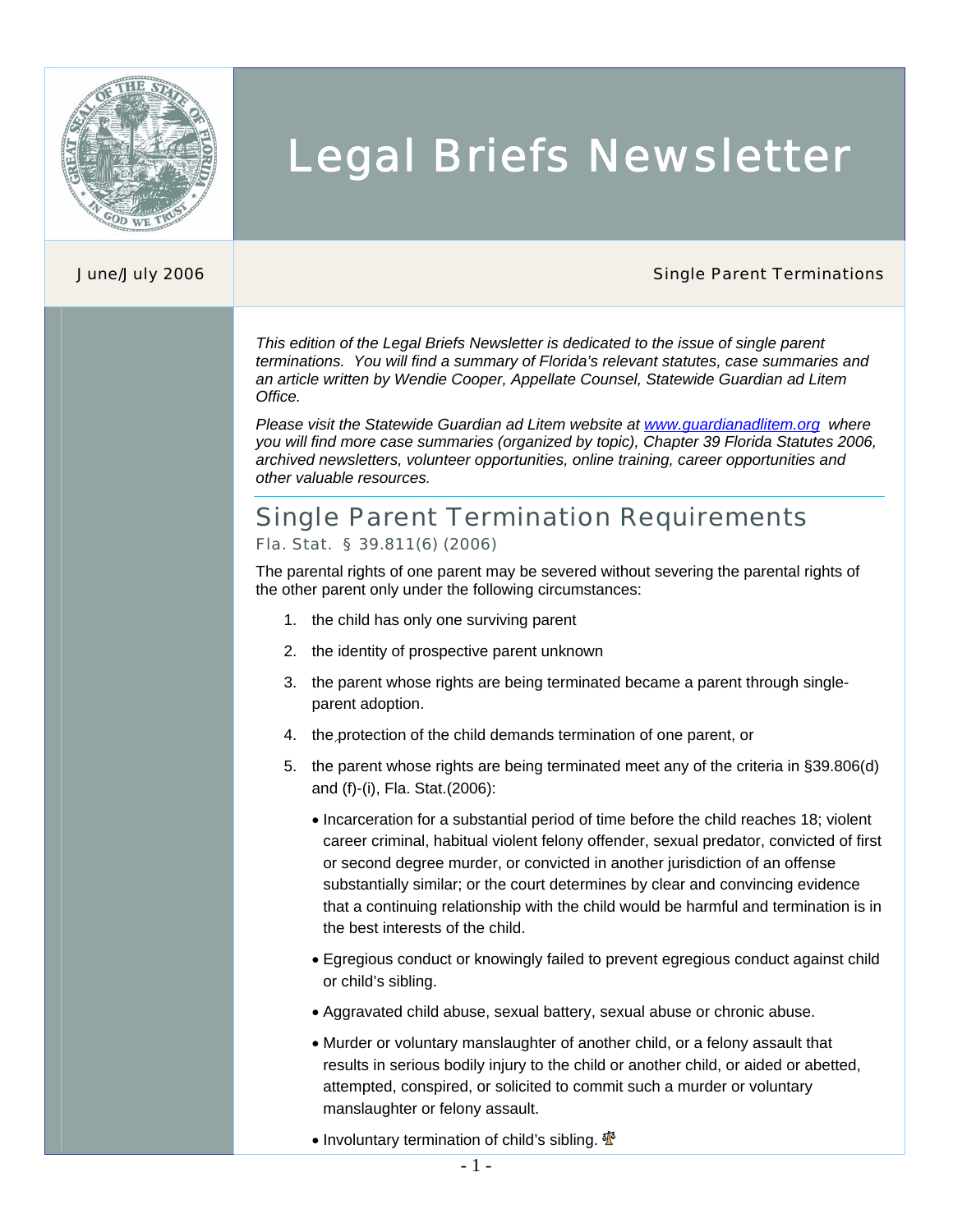

# Legal Briefs Newsletter

#### **June/July 2006** Single Parent Terminations **Single Parent Terminations**

*This edition of the Legal Briefs Newsletter is dedicated to the issue of single parent terminations. You will find a summary of Florida's relevant statutes, case summaries and an article written by Wendie Cooper, Appellate Counsel, Statewide Guardian ad Litem Office.* 

*Please visit the Statewide Guardian ad Litem website at www.guardianadlitem.org where you will find more case summaries (organized by topic), Chapter 39 Florida Statutes 2006, archived newsletters, volunteer opportunities, online training, career opportunities and other valuable resources.*

## Single Parent Termination Requirements

### [Fla. Stat. § 39.811\(6\) \(2006\)](http://www.guardianadlitem.org/case_sums/chapter_39/Part%2011.pdf)

The parental rights of one parent may be severed without severing the parental rights of the other parent only under the following circumstances:

- 1. the child has only one surviving parent
- 2. the identity of prospective parent unknown
- 3. the parent whose rights are being terminated became a parent through singleparent adoption.
- 4. the protection of the child demands termination of one parent, or
- 5. the parent whose rights are being terminated meet any of the criteria in §39.806(d) and (f)-(i), Fla. Stat.(2006):
	- Incarceration for a substantial period of time before the child reaches 18; violent career criminal, habitual violent felony offender, sexual predator, convicted of first or second degree murder, or convicted in another jurisdiction of an offense substantially similar; or the court determines by clear and convincing evidence that a continuing relationship with the child would be harmful and termination is in the best interests of the child.
	- Egregious conduct or knowingly failed to prevent egregious conduct against child or child's sibling.
	- Aggravated child abuse, sexual battery, sexual abuse or chronic abuse.
	- Murder or voluntary manslaughter of another child, or a felony assault that results in serious bodily injury to the child or another child, or aided or abetted, attempted, conspired, or solicited to commit such a murder or voluntary manslaughter or felony assault.
	- Involuntary termination of child's sibling.  $\Phi$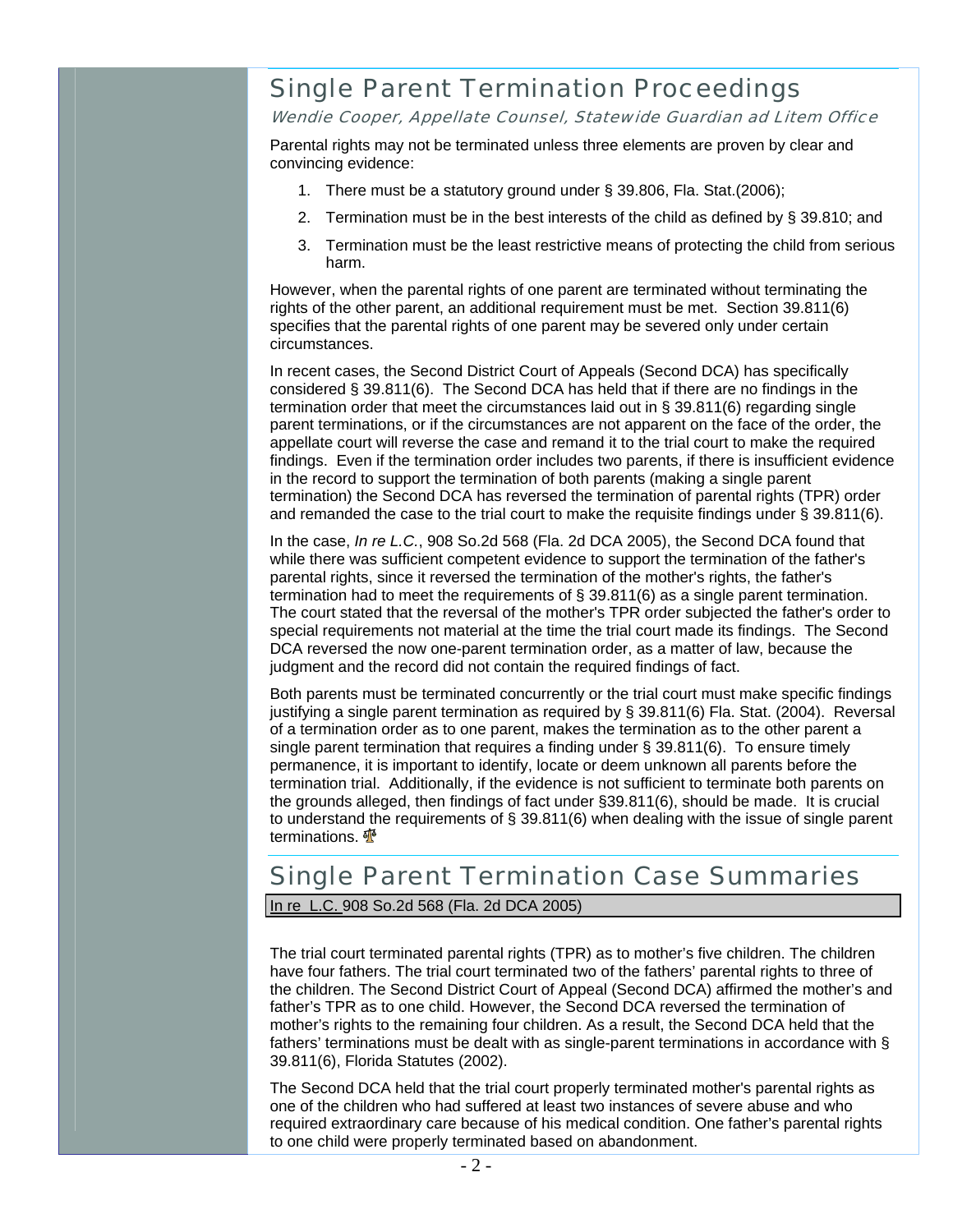# Single Parent Termination Proceedings

Wendie Cooper, Appellate Counsel, Statewide Guardian ad Litem Office

Parental rights may not be terminated unless three elements are proven by clear and convincing evidence:

- 1. There must be a statutory ground under § 39.806, Fla. Stat.(2006);
- 2. Termination must be in the best interests of the child as defined by § 39.810; and
- 3. Termination must be the least restrictive means of protecting the child from serious harm.

However, when the parental rights of one parent are terminated without terminating the rights of the other parent, an additional requirement must be met. Section 39.811(6) specifies that the parental rights of one parent may be severed only under certain circumstances.

In recent cases, the Second District Court of Appeals (Second DCA) has specifically considered § 39.811(6). The Second DCA has held that if there are no findings in the termination order that meet the circumstances laid out in § 39.811(6) regarding single parent terminations, or if the circumstances are not apparent on the face of the order, the appellate court will reverse the case and remand it to the trial court to make the required findings. Even if the termination order includes two parents, if there is insufficient evidence in the record to support the termination of both parents (making a single parent termination) the Second DCA has reversed the termination of parental rights (TPR) order and remanded the case to the trial court to make the requisite findings under § 39.811(6).

In the case, *In re L.C.*, 908 So.2d 568 (Fla. 2d DCA 2005), the Second DCA found that while there was sufficient competent evidence to support the termination of the father's parental rights, since it reversed the termination of the mother's rights, the father's termination had to meet the requirements of § 39.811(6) as a single parent termination. The court stated that the reversal of the mother's TPR order subjected the father's order to special requirements not material at the time the trial court made its findings. The Second DCA reversed the now one-parent termination order, as a matter of law, because the judgment and the record did not contain the required findings of fact.

Both parents must be terminated concurrently or the trial court must make specific findings justifying a single parent termination as required by § 39.811(6) Fla. Stat. (2004). Reversal of a termination order as to one parent, makes the termination as to the other parent a single parent termination that requires a finding under § 39.811(6). To ensure timely permanence, it is important to identify, locate or deem unknown all parents before the termination trial. Additionally, if the evidence is not sufficient to terminate both parents on the grounds alleged, then findings of fact under §39.811(6), should be made. It is crucial to understand the requirements of § 39.811(6) when dealing with the issue of single parent terminations.  $\frac{4}{3}$ 

# Single Parent Termination Case Summaries

In re L.C. 908 So.2d 568 (Fla. 2d DCA 2005)

The trial court terminated parental rights (TPR) as to mother's five children. The children have four fathers. The trial court terminated two of the fathers' parental rights to three of the children. The Second District Court of Appeal (Second DCA) affirmed the mother's and father's TPR as to one child. However, the Second DCA reversed the termination of mother's rights to the remaining four children. As a result, the Second DCA held that the fathers' terminations must be dealt with as single-parent terminations in accordance with § 39.811(6), Florida Statutes (2002).

The Second DCA held that the trial court properly terminated mother's parental rights as one of the children who had suffered at least two instances of severe abuse and who required extraordinary care because of his medical condition. One father's parental rights to one child were properly terminated based on abandonment.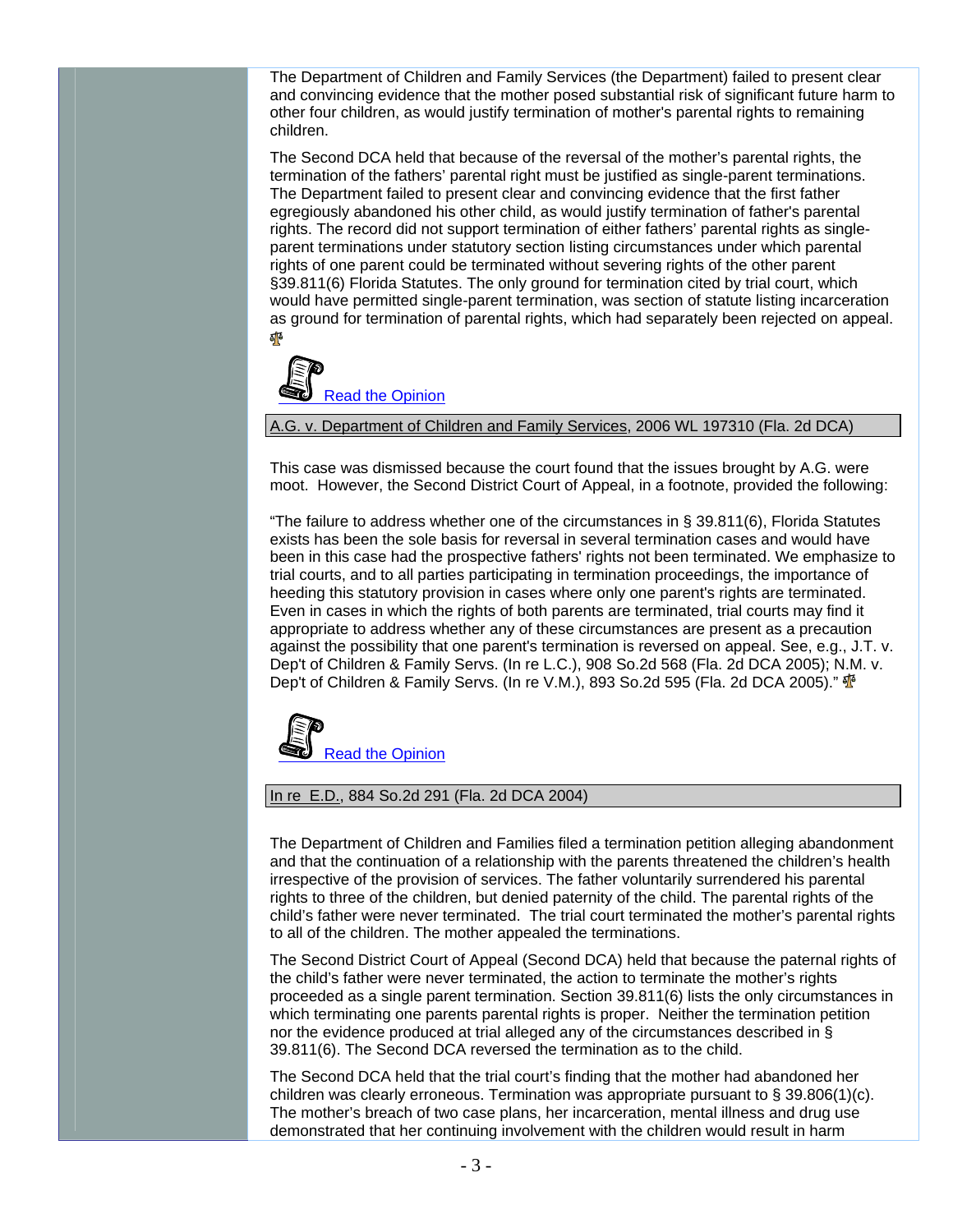The Department of Children and Family Services (the Department) failed to present clear and convincing evidence that the mother posed substantial risk of significant future harm to other four children, as would justify termination of mother's parental rights to remaining children.

The Second DCA held that because of the reversal of the mother's parental rights, the termination of the fathers' parental right must be justified as single-parent terminations. The Department failed to present clear and convincing evidence that the first father egregiously abandoned his other child, as would justify termination of father's parental rights. The record did not support termination of either fathers' parental rights as singleparent terminations under statutory section listing circumstances under which parental rights of one parent could be terminated without severing rights of the other parent §39.811(6) Florida Statutes. The only ground for termination cited by trial court, which would have permitted single-parent termination, was section of statute listing incarceration as ground for termination of parental rights, which had separately been rejected on appeal. 郁



A.G. v. Department of Children and Family Services, 2006 WL 197310 (Fla. 2d DCA)

This case was dismissed because the court found that the issues brought by A.G. were moot. However, the Second District Court of Appeal, in a footnote, provided the following:

"The failure to address whether one of the circumstances in § 39.811(6), Florida Statutes exists has been the sole basis for reversal in several termination cases and would have been in this case had the prospective fathers' rights not been terminated. We emphasize to trial courts, and to all parties participating in termination proceedings, the importance of heeding this statutory provision in cases where only one parent's rights are terminated. Even in cases in which the rights of both parents are terminated, trial courts may find it appropriate to address whether any of these circumstances are present as a precaution against the possibility that one parent's termination is reversed on appeal. See, e.g., J.T. v. Dep't of Children & Family Servs. (In re L.C.), 908 So.2d 568 (Fla. 2d DCA 2005); N.M. v. Dep't of Children & Family Servs. (In re V.M.), 893 So.2d 595 (Fla. 2d DCA 2005)."  $\Phi$ 



### In re E.D., 884 So.2d 291 (Fla. 2d DCA 2004)

The Department of Children and Families filed a termination petition alleging abandonment and that the continuation of a relationship with the parents threatened the children's health irrespective of the provision of services. The father voluntarily surrendered his parental rights to three of the children, but denied paternity of the child. The parental rights of the child's father were never terminated. The trial court terminated the mother's parental rights to all of the children. The mother appealed the terminations.

The Second District Court of Appeal (Second DCA) held that because the paternal rights of the child's father were never terminated, the action to terminate the mother's rights proceeded as a single parent termination. Section 39.811(6) lists the only circumstances in which terminating one parents parental rights is proper. Neither the termination petition nor the evidence produced at trial alleged any of the circumstances described in § 39.811(6). The Second DCA reversed the termination as to the child.

The Second DCA held that the trial court's finding that the mother had abandoned her children was clearly erroneous. Termination was appropriate pursuant to  $\S 39.806(1)(c)$ . The mother's breach of two case plans, her incarceration, mental illness and drug use demonstrated that her continuing involvement with the children would result in harm